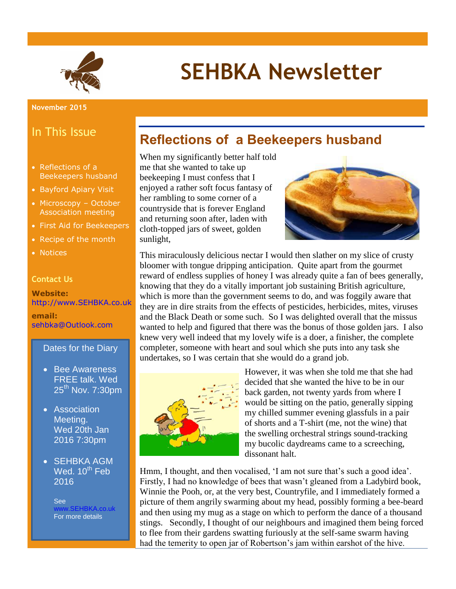

# **SEHBKA Newsletter**

#### In This Issue

- Reflections of a Beekeepers husband
- Bayford Apiary Visit
- Microscopy October Association meeting
- First Aid for Beekeepers
- Recipe of the month
- Notices

#### **Contact Us**

**Website:** [http://www.SEHBKA.co.uk](http://www.sehbka.co.uk/)

**email:** [sehbka@Outlook.com](mailto:sehbka@Outlook.com)

#### Dates for the Diary

- Bee Awareness FREE talk. Wed 25th Nov. 7:30pm
- Association Meeting. Wed 20th Jan 2016 7:30pm
- SEHBKA AGM Wed.  $10^{th}$  Feb 2016

See SEHBKA.co.uk For more details

#### **Reflections of a Beekeepers husband**

When my significantly better half told me that she wanted to take up beekeeping I must confess that I enjoyed a rather soft focus fantasy of her rambling to some corner of a countryside that is forever England and returning soon after, laden with cloth-topped jars of sweet, golden sunlight,



This miraculously delicious nectar I would then slather on my slice of crusty bloomer with tongue dripping anticipation. Quite apart from the gourmet reward of endless supplies of honey I was already quite a fan of bees generally, knowing that they do a vitally important job sustaining British agriculture, which is more than the government seems to do, and was foggily aware that they are in dire straits from the effects of pesticides, herbicides, mites, viruses and the Black Death or some such. So I was delighted overall that the missus wanted to help and figured that there was the bonus of those golden jars. I also knew very well indeed that my lovely wife is a doer, a finisher, the complete completer, someone with heart and soul which she puts into any task she undertakes, so I was certain that she would do a grand job.



However, it was when she told me that she had decided that she wanted the hive to be in our back garden, not twenty yards from where I would be sitting on the patio, generally sipping my chilled summer evening glassfuls in a pair of shorts and a T-shirt (me, not the wine) that the swelling orchestral strings sound-tracking my bucolic daydreams came to a screeching, dissonant halt.

Hmm, I thought, and then vocalised, 'I am not sure that's such a good idea'. Firstly, I had no knowledge of bees that wasn't gleaned from a Ladybird book, Winnie the Pooh, or, at the very best, Countryfile, and I immediately formed a picture of them angrily swarming about my head, possibly forming a bee-beard and then using my mug as a stage on which to perform the dance of a thousand stings. Secondly, I thought of our neighbours and imagined them being forced to flee from their gardens swatting furiously at the self-same swarm having had the temerity to open jar of Robertson's jam within earshot of the hive.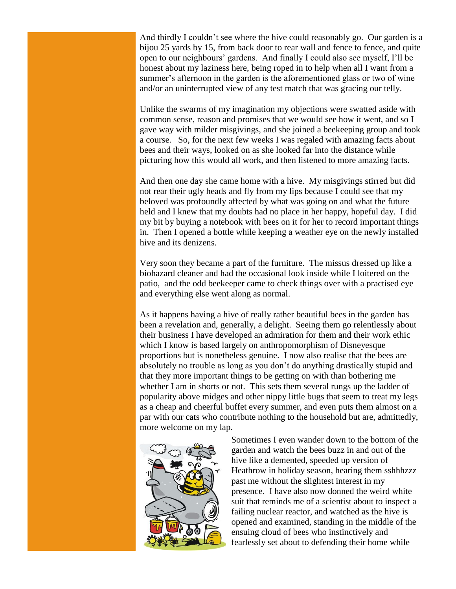And thirdly I couldn't see where the hive could reasonably go. Our garden is a bijou 25 yards by 15, from back door to rear wall and fence to fence, and quite open to our neighbours' gardens. And finally I could also see myself, I'll be honest about my laziness here, being roped in to help when all I want from a summer's afternoon in the garden is the aforementioned glass or two of wine and/or an uninterrupted view of any test match that was gracing our telly.

Unlike the swarms of my imagination my objections were swatted aside with common sense, reason and promises that we would see how it went, and so I gave way with milder misgivings, and she joined a beekeeping group and took a course. So, for the next few weeks I was regaled with amazing facts about bees and their ways, looked on as she looked far into the distance while picturing how this would all work, and then listened to more amazing facts.

And then one day she came home with a hive. My misgivings stirred but did not rear their ugly heads and fly from my lips because I could see that my beloved was profoundly affected by what was going on and what the future held and I knew that my doubts had no place in her happy, hopeful day. I did my bit by buying a notebook with bees on it for her to record important things in. Then I opened a bottle while keeping a weather eye on the newly installed hive and its denizens.

Very soon they became a part of the furniture. The missus dressed up like a biohazard cleaner and had the occasional look inside while I loitered on the patio, and the odd beekeeper came to check things over with a practised eye and everything else went along as normal.

As it happens having a hive of really rather beautiful bees in the garden has been a revelation and, generally, a delight. Seeing them go relentlessly about their business I have developed an admiration for them and their work ethic which I know is based largely on anthropomorphism of Disneyesque proportions but is nonetheless genuine. I now also realise that the bees are absolutely no trouble as long as you don't do anything drastically stupid and that they more important things to be getting on with than bothering me whether I am in shorts or not. This sets them several rungs up the ladder of popularity above midges and other nippy little bugs that seem to treat my legs as a cheap and cheerful buffet every summer, and even puts them almost on a par with our cats who contribute nothing to the household but are, admittedly, more welcome on my lap.



Sometimes I even wander down to the bottom of the garden and watch the bees buzz in and out of the hive like a demented, speeded up version of Heathrow in holiday season, hearing them sshhhzzz past me without the slightest interest in my presence. I have also now donned the weird white suit that reminds me of a scientist about to inspect a failing nuclear reactor, and watched as the hive is opened and examined, standing in the middle of the ensuing cloud of bees who instinctively and fearlessly set about to defending their home while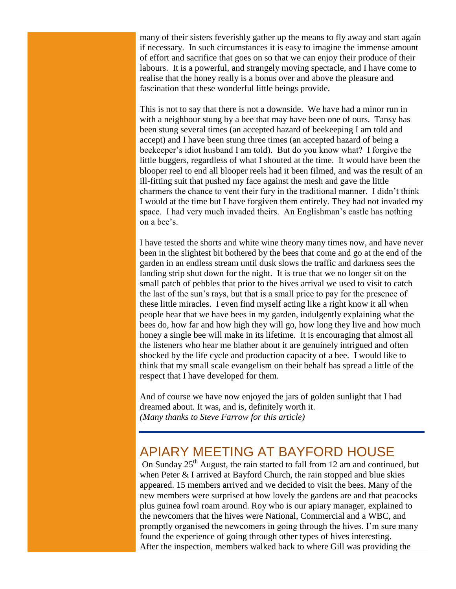many of their sisters feverishly gather up the means to fly away and start again if necessary. In such circumstances it is easy to imagine the immense amount of effort and sacrifice that goes on so that we can enjoy their produce of their labours. It is a powerful, and strangely moving spectacle, and I have come to realise that the honey really is a bonus over and above the pleasure and fascination that these wonderful little beings provide.

This is not to say that there is not a downside. We have had a minor run in with a neighbour stung by a bee that may have been one of ours. Tansy has been stung several times (an accepted hazard of beekeeping I am told and accept) and I have been stung three times (an accepted hazard of being a beekeeper's idiot husband I am told). But do you know what? I forgive the little buggers, regardless of what I shouted at the time. It would have been the blooper reel to end all blooper reels had it been filmed, and was the result of an ill-fitting suit that pushed my face against the mesh and gave the little charmers the chance to vent their fury in the traditional manner. I didn't think I would at the time but I have forgiven them entirely. They had not invaded my space. I had very much invaded theirs. An Englishman's castle has nothing on a bee's.

I have tested the shorts and white wine theory many times now, and have never been in the slightest bit bothered by the bees that come and go at the end of the garden in an endless stream until dusk slows the traffic and darkness sees the landing strip shut down for the night. It is true that we no longer sit on the small patch of pebbles that prior to the hives arrival we used to visit to catch the last of the sun's rays, but that is a small price to pay for the presence of these little miracles. I even find myself acting like a right know it all when people hear that we have bees in my garden, indulgently explaining what the bees do, how far and how high they will go, how long they live and how much honey a single bee will make in its lifetime. It is encouraging that almost all the listeners who hear me blather about it are genuinely intrigued and often shocked by the life cycle and production capacity of a bee. I would like to think that my small scale evangelism on their behalf has spread a little of the respect that I have developed for them.

And of course we have now enjoyed the jars of golden sunlight that I had dreamed about. It was, and is, definitely worth it. *(Many thanks to Steve Farrow for this article)* 

#### APIARY MEETING AT BAYFORD HOUSE

On Sunday  $25<sup>th</sup>$  August, the rain started to fall from 12 am and continued, but when Peter & I arrived at Bayford Church, the rain stopped and blue skies appeared. 15 members arrived and we decided to visit the bees. Many of the new members were surprised at how lovely the gardens are and that peacocks plus guinea fowl roam around. Roy who is our apiary manager, explained to the newcomers that the hives were National, Commercial and a WBC, and promptly organised the newcomers in going through the hives. I'm sure many found the experience of going through other types of hives interesting. After the inspection, members walked back to where Gill was providing the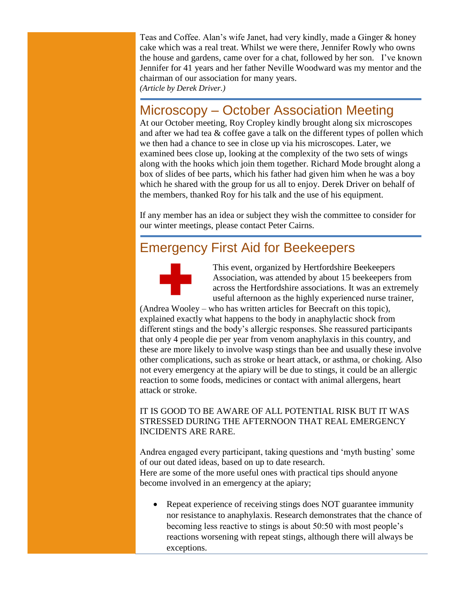Teas and Coffee. Alan's wife Janet, had very kindly, made a Ginger & honey cake which was a real treat. Whilst we were there, Jennifer Rowly who owns the house and gardens, came over for a chat, followed by her son. I've known Jennifer for 41 years and her father Neville Woodward was my mentor and the chairman of our association for many years. *(Article by Derek Driver.)*

#### Microscopy – October Association Meeting

At our October meeting, Roy Cropley kindly brought along six microscopes and after we had tea & coffee gave a talk on the different types of pollen which we then had a chance to see in close up via his microscopes. Later, we examined bees close up, looking at the complexity of the two sets of wings along with the hooks which join them together. Richard Mode brought along a box of slides of bee parts, which his father had given him when he was a boy which he shared with the group for us all to enjoy. Derek Driver on behalf of the members, thanked Roy for his talk and the use of his equipment.

If any member has an idea or subject they wish the committee to consider for our winter meetings, please contact Peter Cairns.

### Emergency First Aid for Beekeepers



This event, organized by Hertfordshire Beekeepers Association, was attended by about 15 beekeepers from across the Hertfordshire associations. It was an extremely useful afternoon as the highly experienced nurse trainer,

(Andrea Wooley – who has written articles for Beecraft on this topic), explained exactly what happens to the body in anaphylactic shock from different stings and the body's allergic responses. She reassured participants that only 4 people die per year from venom anaphylaxis in this country, and these are more likely to involve wasp stings than bee and usually these involve other complications, such as stroke or heart attack, or asthma, or choking. Also not every emergency at the apiary will be due to stings, it could be an allergic reaction to some foods, medicines or contact with animal allergens, heart attack or stroke.

#### IT IS GOOD TO BE AWARE OF ALL POTENTIAL RISK BUT IT WAS STRESSED DURING THE AFTERNOON THAT REAL EMERGENCY INCIDENTS ARE RARE.

Andrea engaged every participant, taking questions and 'myth busting' some of our out dated ideas, based on up to date research. Here are some of the more useful ones with practical tips should anyone become involved in an emergency at the apiary;

 Repeat experience of receiving stings does NOT guarantee immunity nor resistance to anaphylaxis. Research demonstrates that the chance of becoming less reactive to stings is about 50:50 with most people's reactions worsening with repeat stings, although there will always be exceptions.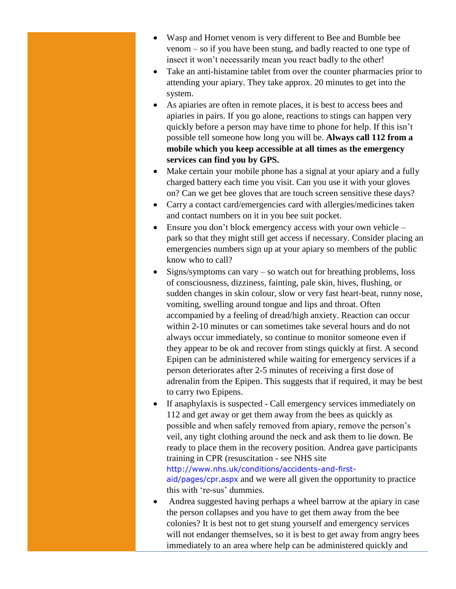- Wasp and Hornet venom is very different to Bee and Bumble bee venom – so if you have been stung, and badly reacted to one type of insect it won't necessarily mean you react badly to the other!
- Take an anti-histamine tablet from over the counter pharmacies prior to attending your apiary. They take approx. 20 minutes to get into the system.
- As apiaries are often in remote places, it is best to access bees and apiaries in pairs. If you go alone, reactions to stings can happen very quickly before a person may have time to phone for help. If this isn't possible tell someone how long you will be. **Always call 112 from a mobile which you keep accessible at all times as the emergency services can find you by GPS.**
- Make certain your mobile phone has a signal at your apiary and a fully charged battery each time you visit. Can you use it with your gloves on? Can we get bee gloves that are touch screen sensitive these days?
- Carry a contact card/emergencies card with allergies/medicines taken and contact numbers on it in you bee suit pocket.
- Ensure you don't block emergency access with your own vehicle park so that they might still get access if necessary. Consider placing an emergencies numbers sign up at your apiary so members of the public know who to call?
- Signs/symptoms can vary so watch out for breathing problems, loss of consciousness, dizziness, fainting, pale skin, hives, flushing, or sudden changes in skin colour, slow or very fast heart-beat, runny nose, vomiting, swelling around tongue and lips and throat. Often accompanied by a feeling of dread/high anxiety. Reaction can occur within 2-10 minutes or can sometimes take several hours and do not always occur immediately, so continue to monitor someone even if they appear to be ok and recover from stings quickly at first. A second Epipen can be administered while waiting for emergency services if a person deteriorates after 2-5 minutes of receiving a first dose of adrenalin from the Epipen. This suggests that if required, it may be best to carry two Epipens.
- If anaphylaxis is suspected Call emergency services immediately on 112 and get away or get them away from the bees as quickly as possible and when safely removed from apiary, remove the person's veil, any tight clothing around the neck and ask them to lie down. Be ready to place them in the recovery position. Andrea gave participants training in CPR (resuscitation - see NHS site [http://www.nhs.uk/conditions/accidents-and-first](http://www.nhs.uk/conditions/accidents-and-first-aid/pages/cpr.aspx)[aid/pages/cpr.aspx](http://www.nhs.uk/conditions/accidents-and-first-aid/pages/cpr.aspx) and we were all given the opportunity to practice this with 're-sus' dummies.
- Andrea suggested having perhaps a wheel barrow at the apiary in case the person collapses and you have to get them away from the bee colonies? It is best not to get stung yourself and emergency services will not endanger themselves, so it is best to get away from angry bees immediately to an area where help can be administered quickly and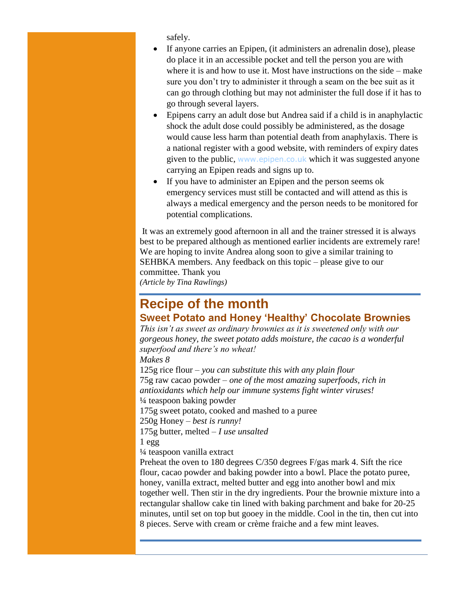safely.

- If anyone carries an Epipen, (it administers an adrenalin dose), please do place it in an accessible pocket and tell the person you are with where it is and how to use it. Most have instructions on the side – make sure you don't try to administer it through a seam on the bee suit as it can go through clothing but may not administer the full dose if it has to go through several layers.
- Epipens carry an adult dose but Andrea said if a child is in anaphylactic shock the adult dose could possibly be administered, as the dosage would cause less harm than potential death from anaphylaxis. There is a national register with a good website, with reminders of expiry dates given to the public, [www.epipen.co.uk](http://www.epipen.co.uk/) which it was suggested anyone carrying an Epipen reads and signs up to.
- If you have to administer an Epipen and the person seems ok emergency services must still be contacted and will attend as this is always a medical emergency and the person needs to be monitored for potential complications.

It was an extremely good afternoon in all and the trainer stressed it is always best to be prepared although as mentioned earlier incidents are extremely rare! We are hoping to invite Andrea along soon to give a similar training to SEHBKA members. Any feedback on this topic – please give to our committee. Thank you *(Article by Tina Rawlings)*

## **Recipe of the month**

#### **Sweet Potato and Honey 'Healthy' Chocolate Brownies**

*This isn't as sweet as ordinary brownies as it is sweetened only with our gorgeous honey, the sweet potato adds moisture, the cacao is a wonderful superfood and there's no wheat!*

*Makes 8*

125g rice flour – *you can substitute this with any plain flour* 75g raw cacao powder – *one of the most amazing superfoods, rich in antioxidants which help our immune systems fight winter viruses!* ¼ teaspoon baking powder 175g sweet potato, cooked and mashed to a puree 250g Honey – *best is runny!* 175g butter, melted – *I use unsalted* 1 egg ¼ teaspoon vanilla extract Preheat the oven to 180 degrees C/350 degrees F/gas mark 4. Sift the rice flour, cacao powder and baking powder into a bowl. Place the potato puree, honey, vanilla extract, melted butter and egg into another bowl and mix

together well. Then stir in the dry ingredients. Pour the brownie mixture into a rectangular shallow cake tin lined with baking parchment and bake for 20-25 minutes, until set on top but gooey in the middle. Cool in the tin, then cut into 8 pieces. Serve with cream or crème fraiche and a few mint leaves.